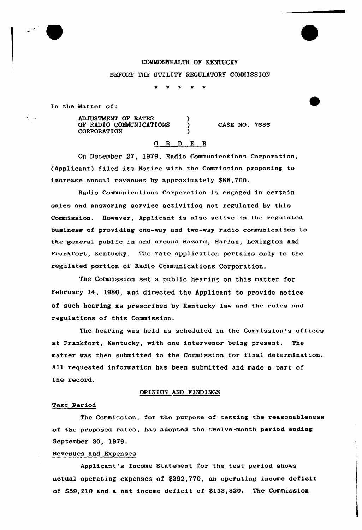## COMMONWEALTH OF KENTUCKY

BEFORE THE UTILITY REGULATORY COMMISSION

In the Matter of:

ADJUSTMENT OF RATES (1997)<br>OF RADIO COMMUNICATIONS OF RADIO COMMUNICATIONS **CORPORATION** 

CASE NO. 7686

# 0 <sup>R</sup> <sup>D</sup> E <sup>R</sup>

On December 27, 1979, Radio Communications Corporation, (Applicant) filed its Notice with the Commission proposing to increase annual revenues by approximately \$88,700.

Radio Communications Corporation is engaged in certain sales and answering service activities not regulated by this Commission. However, Applicant is also active in the regulated business of providing one-way and two-way radio communication to the general public in and around Hazard, Harlan, Lexington and Frankfort, Kentucky. The rate application pertains only to the regulated portion of Radio Communications Corporation.

The Commission set a public hearing on this mattex for February 14, 1980, and directed the Applicant to provide notice of such hearing as prescribed by Kentucky law and the rules and regulations of this Commission.

The hearing was held as scheduled in the Commission's offices at Frankfort, Kentucky, with one intervenor being present. The matter was then submitted to the Commission for fina1 determination. All requested information has been submitted and made a part of the record.

## OPINION AND FINDINGS

#### Test Period

The Commission, for the purpose of testing the reasonableness of the proposed rates, has adopted the twelve-month period ending September 30, 1979.

### Revenues and Expenses

Applicant's Income Statement for the test period shows actual operating expenses of \$292,770, an operating income deficit of \$59,210 and a net income deficit of \$133,820. The Commission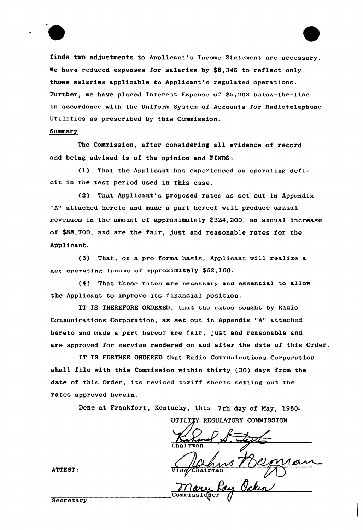



finds two adjustments to Applicant's Income Statement are necessary. We have reduced expenses for salaries by \$8,346 to reflect only those salaries applicable to Applicant's regulated operations. Further, we have placed Interest Expense of \$5,202 below-the-line in accordance with the Uniform System of Accounts for Radiotelephone Utilities as prescribed by this Commission.

Summary

The Commission, after considering all evidence of record and being advised is of the opinion and FINDS:

(1) That the Applicant has experienced an operating deficit in the test period used in this case.

(2) That Applicant's proposed rates as set out in Appendix "A" attached hereto and made a part hereof will produce annual revenues in the amount of approximately \$324,200, an annual increase of \$88,700, and are the fair, just and reasonable rates for the Applicant.

(3) That, on a pro forma basis, Applicant will realize a net operating income of approximately \$62,100.

(4) That these rates are necessary and essential to allow the Applicant to improve its financial position.

IT IS THEREFORE ORDERED, that the rates sought by Radio Communications Corporation, as set out in Appendix "A" attached hereto and made a part hereof are fair, just and reasonable and are approved for service rendered on and after the date of this Order.

IT IS FURTHER ORDERED that Radio Communications Corporation shall file with this Commission within thirty (30) days from the date of this Order, its revised tariff sheets setting out the rates approved herein.

Done at Frankfort, Kentucky, this 7th day of May, 1980.

UTILITY REGULATORY COMMISSION

Chairma

 $\underline{\beta}$ 

ATTEST:

**Secretary**